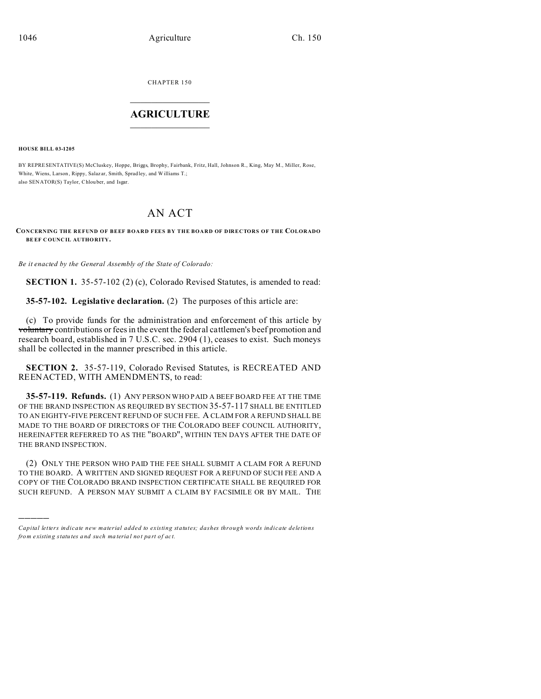CHAPTER 150  $\overline{\phantom{a}}$  , where  $\overline{\phantom{a}}$ 

## **AGRICULTURE**  $\_$   $\_$   $\_$   $\_$   $\_$   $\_$   $\_$   $\_$

**HOUSE BILL 03-1205**

)))))

BY REPRESENTATIVE(S) McCluskey, Hoppe, Briggs, Brophy, Fairbank, Fritz, Hall, Johnson R., King, May M., Miller, Rose, White, Wiens, Larson, Rippy, Salazar, Smith, Spradley, and Williams T.; also SENATOR(S) Taylor, Chlou ber, and Isgar.

## AN ACT

**CONCERNING THE REFUND OF BEEF BOARD FEES BY THE BOARD OF DIRECTORS OF THE COLORADO BEEF C OUNC IL AUTHO RITY.**

*Be it enacted by the General Assembly of the State of Colorado:*

**SECTION 1.** 35-57-102 (2) (c), Colorado Revised Statutes, is amended to read:

**35-57-102. Legislative declaration.** (2) The purposes of this article are:

(c) To provide funds for the administration and enforcement of this article by voluntary contributions or fees in the event the federal cattlemen's beef promotion and research board, established in 7 U.S.C. sec. 2904 (1), ceases to exist. Such moneys shall be collected in the manner prescribed in this article.

**SECTION 2.** 35-57-119, Colorado Revised Statutes, is RECREATED AND REENACTED, WITH AMENDMENTS, to read:

**35-57-119. Refunds.** (1) ANY PERSON WHO PAID A BEEF BOARD FEE AT THE TIME OF THE BRAND INSPECTION AS REQUIRED BY SECTION 35-57-117 SHALL BE ENTITLED TO AN EIGHTY-FIVE PERCENT REFUND OF SUCH FEE. A CLAIM FOR A REFUND SHALL BE MADE TO THE BOARD OF DIRECTORS OF THE COLORADO BEEF COUNCIL AUTHORITY, HEREINAFTER REFERRED TO AS THE "BOARD", WITHIN TEN DAYS AFTER THE DATE OF THE BRAND INSPECTION.

(2) ONLY THE PERSON WHO PAID THE FEE SHALL SUBMIT A CLAIM FOR A REFUND TO THE BOARD. A WRITTEN AND SIGNED REQUEST FOR A REFUND OF SUCH FEE AND A COPY OF THE COLORADO BRAND INSPECTION CERTIFICATE SHALL BE REQUIRED FOR SUCH REFUND. A PERSON MAY SUBMIT A CLAIM BY FACSIMILE OR BY MAIL. THE

*Capital letters indicate new material added to existing statutes; dashes through words indicate deletions from e xistin g statu tes a nd such ma teria l no t pa rt of ac t.*